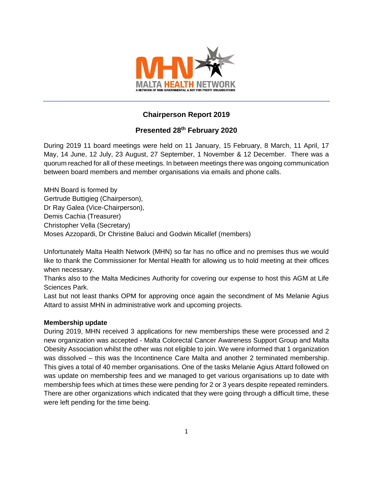

# **Chairperson Report 2019**

## **Presented 28th February 2020**

During 2019 11 board meetings were held on 11 January, 15 February, 8 March, 11 April, 17 May, 14 June, 12 July, 23 August, 27 September, 1 November & 12 December. There was a quorum reached for all of these meetings. In between meetings there was ongoing communication between board members and member organisations via emails and phone calls.

MHN Board is formed by Gertrude Buttigieg (Chairperson), Dr Ray Galea (Vice-Chairperson), Demis Cachia (Treasurer) Christopher Vella (Secretary) Moses Azzopardi, Dr Christine Baluci and Godwin Micallef (members)

Unfortunately Malta Health Network (MHN) so far has no office and no premises thus we would like to thank the Commissioner for Mental Health for allowing us to hold meeting at their offices when necessary.

Thanks also to the Malta Medicines Authority for covering our expense to host this AGM at Life Sciences Park.

Last but not least thanks OPM for approving once again the secondment of Ms Melanie Agius Attard to assist MHN in administrative work and upcoming projects.

## **Membership update**

During 2019, MHN received 3 applications for new memberships these were processed and 2 new organization was accepted - Malta Colorectal Cancer Awareness Support Group and Malta Obesity Association whilst the other was not eligible to join. We were informed that 1 organization was dissolved – this was the Incontinence Care Malta and another 2 terminated membership. This gives a total of 40 member organisations. One of the tasks Melanie Agius Attard followed on was update on membership fees and we managed to get various organisations up to date with membership fees which at times these were pending for 2 or 3 years despite repeated reminders. There are other organizations which indicated that they were going through a difficult time, these were left pending for the time being.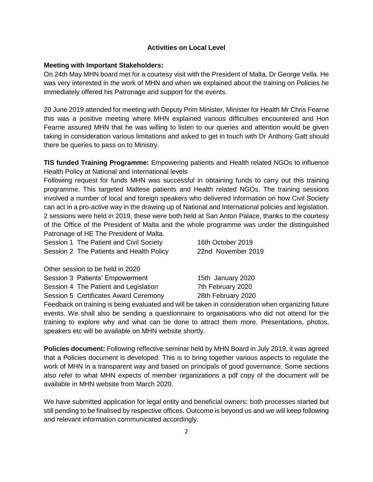### **Activities on Local Level**

### **Meeting with Important Stakeholders:**

On 24th May MHN board met for a courtesy visit with the President of Malta, Dr George Vella. He was very interested in the work of MHN and when we explained about the training on Policies he immediately offered his Patronage and support for the events.

20 June 2019 attended for meeting with Deputy Prim Minister, Minister for Health Mr Chris Fearne this was a positive meeting where MHN explained various difficulties encountered and Hon Fearne assured MHN that he was willing to listen to our queries and attention would be given taking in consideration various limitations and asked to get in touch with Dr Anthony Gatt should there be queries to pass on to Ministry.

**TIS funded Training Programme:** Empowering patients and Health related NGOs to influence Health Policy at National and International levels

Following request for funds MHN was successful in obtaining funds to carry out this training programme. This targeted Maltese patients and Health related NGOs. The training sessions involved a number of local and foreign speakers who delivered information on how Civil Society can act in a pro-active way in the drawing up of National and International policies and legislation. 2 sessions were held in 2019, these were both held at San Anton Palace, thanks to the courtesy of the Office of the President of Malta and the whole programme was under the distinguished Patronage of HE The President of Malta.

| Session 1 The Patient and Civil Society  | 16th October 2019  |
|------------------------------------------|--------------------|
| Session 2 The Patients and Health Policy | 22nd November 2019 |

Other session to be held in 2020

| Session 3 Patients' Empowerment       | 15th January 2020  |
|---------------------------------------|--------------------|
| Session 4 The Patient and Legislation | 7th February 2020  |
| Session 5 Certificates Award Ceremony | 28th February 2020 |

Feedback on training is being evaluated and will be taken in consideration when organizing future events. We shall also be sending a questionnaire to organisations who did not attend for the training to explore why and what can be done to attract them more. Presentations, photos, speakers etc will be available on MHN website shortly.

**Policies document:** Following reflective seminar held by MHN Board in July 2019, it was agreed that a Policies document is developed. This is to bring together various aspects to regulate the work of MHN in a transparent way and based on principals of good governance. Some sections also refer to what MHN expects of member organizations a pdf copy of the document will be available in MHN website from March 2020.

We have submitted application for legal entity and beneficial owners: both processes started but still pending to be finalised by respective offices. Outcome is beyond us and we will keep following and relevant information communicated accordingly.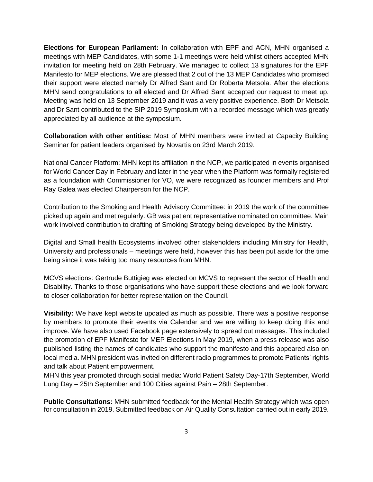**Elections for European Parliament:** In collaboration with EPF and ACN, MHN organised a meetings with MEP Candidates, with some 1-1 meetings were held whilst others accepted MHN invitation for meeting held on 28th February. We managed to collect 13 signatures for the EPF Manifesto for MEP elections. We are pleased that 2 out of the 13 MEP Candidates who promised their support were elected namely Dr Alfred Sant and Dr Roberta Metsola. After the elections MHN send congratulations to all elected and Dr Alfred Sant accepted our request to meet up. Meeting was held on 13 September 2019 and it was a very positive experience. Both Dr Metsola and Dr Sant contributed to the SIP 2019 Symposium with a recorded message which was greatly appreciated by all audience at the symposium.

**Collaboration with other entities:** Most of MHN members were invited at Capacity Building Seminar for patient leaders organised by Novartis on 23rd March 2019.

National Cancer Platform: MHN kept its affiliation in the NCP, we participated in events organised for World Cancer Day in February and later in the year when the Platform was formally registered as a foundation with Commissioner for VO, we were recognized as founder members and Prof Ray Galea was elected Chairperson for the NCP.

Contribution to the Smoking and Health Advisory Committee: in 2019 the work of the committee picked up again and met regularly. GB was patient representative nominated on committee. Main work involved contribution to drafting of Smoking Strategy being developed by the Ministry.

Digital and Small health Ecosystems involved other stakeholders including Ministry for Health, University and professionals – meetings were held, however this has been put aside for the time being since it was taking too many resources from MHN.

MCVS elections: Gertrude Buttigieg was elected on MCVS to represent the sector of Health and Disability. Thanks to those organisations who have support these elections and we look forward to closer collaboration for better representation on the Council.

**Visibility:** We have kept website updated as much as possible. There was a positive response by members to promote their events via Calendar and we are willing to keep doing this and improve. We have also used Facebook page extensively to spread out messages. This included the promotion of EPF Manifesto for MEP Elections in May 2019, when a press release was also published listing the names of candidates who support the manifesto and this appeared also on local media. MHN president was invited on different radio programmes to promote Patients' rights and talk about Patient empowerment.

MHN this year promoted through social media: World Patient Safety Day-17th September, World Lung Day – 25th September and 100 Cities against Pain – 28th September.

**Public Consultations:** MHN submitted feedback for the Mental Health Strategy which was open for consultation in 2019. Submitted feedback on Air Quality Consultation carried out in early 2019.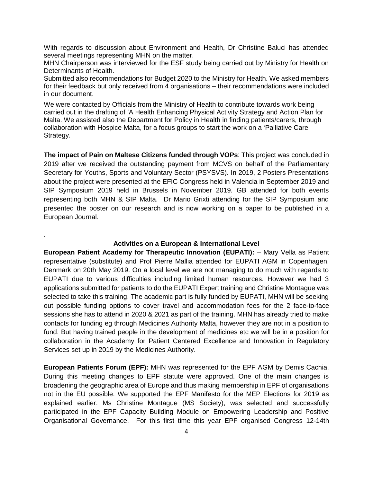With regards to discussion about Environment and Health, Dr Christine Baluci has attended several meetings representing MHN on the matter.

MHN Chairperson was interviewed for the ESF study being carried out by Ministry for Health on Determinants of Health.

Submitted also recommendations for Budget 2020 to the Ministry for Health. We asked members for their feedback but only received from 4 organisations – their recommendations were included in our document.

We were contacted by Officials from the Ministry of Health to contribute towards work being carried out in the drafting of 'A Health Enhancing Physical Activity Strategy and Action Plan for Malta. We assisted also the Department for Policy in Health in finding patients/carers, through collaboration with Hospice Malta, for a focus groups to start the work on a 'Palliative Care Strategy.

**The impact of Pain on Maltese Citizens funded through VOPs**: This project was concluded in 2019 after we received the outstanding payment from MCVS on behalf of the Parliamentary Secretary for Youths, Sports and Voluntary Sector (PSYSVS). In 2019, 2 Posters Presentations about the project were presented at the EFIC Congress held in Valencia in September 2019 and SIP Symposium 2019 held in Brussels in November 2019. GB attended for both events representing both MHN & SIP Malta. Dr Mario Grixti attending for the SIP Symposium and presented the poster on our research and is now working on a paper to be published in a European Journal.

#### **Activities on a European & International Level**

.

**European Patient Academy for Therapeutic Innovation (EUPATI):** – Mary Vella as Patient representative (substitute) and Prof Pierre Mallia attended for EUPATI AGM in Copenhagen, Denmark on 20th May 2019. On a local level we are not managing to do much with regards to EUPATI due to various difficulties including limited human resources. However we had 3 applications submitted for patients to do the EUPATI Expert training and Christine Montague was selected to take this training. The academic part is fully funded by EUPATI, MHN will be seeking out possible funding options to cover travel and accommodation fees for the 2 face-to-face sessions she has to attend in 2020 & 2021 as part of the training. MHN has already tried to make contacts for funding eg through Medicines Authority Malta, however they are not in a position to fund. But having trained people in the development of medicines etc we will be in a position for collaboration in the Academy for Patient Centered Excellence and Innovation in Regulatory Services set up in 2019 by the Medicines Authority.

**European Patients Forum (EPF):** MHN was represented for the EPF AGM by Demis Cachia. During this meeting changes to EPF statute were approved. One of the main changes is broadening the geographic area of Europe and thus making membership in EPF of organisations not in the EU possible. We supported the EPF Manifesto for the MEP Elections for 2019 as explained earlier. Ms Christine Montague (MS Society), was selected and successfully participated in the EPF Capacity Building Module on Empowering Leadership and Positive Organisational Governance. For this first time this year EPF organised Congress 12-14th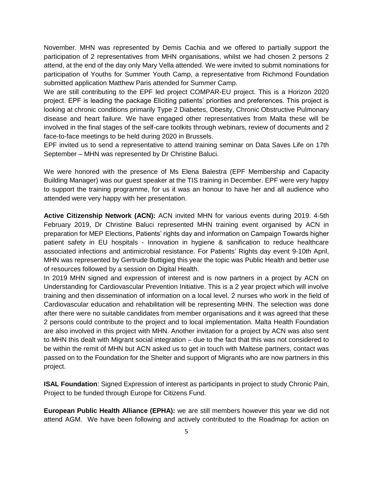November. MHN was represented by Demis Cachia and we offered to partially support the participation of 2 representatives from MHN organisations, whilst we had chosen 2 persons 2 attend, at the end of the day only Mary Vella attended. We were invited to submit nominations for participation of Youths for Summer Youth Camp, a representative from Richmond Foundation submitted application Matthew Paris attended for Summer Camp.

We are still contributing to the EPF led project COMPAR-EU project. This is a Horizon 2020 project. EPF is leading the package Eliciting patients' priorities and preferences. This project is looking at chronic conditions primarily Type 2 Diabetes, Obesity, Chronic Obstructive Pulmonary disease and heart failure. We have engaged other representatives from Malta these will be involved in the final stages of the self-care toolkits through webinars, review of documents and 2 face-to-face meetings to be held during 2020 in Brussels.

EPF invited us to send a representative to attend training seminar on Data Saves Life on 17th September – MHN was represented by Dr Christine Baluci.

We were honored with the presence of Ms Elena Balestra (EPF Membership and Capacity Building Manager) was our guest speaker at the TIS training in December. EPF were very happy to support the training programme, for us it was an honour to have her and all audience who attended were very happy with her presentation.

**Active Citizenship Network (ACN):** ACN invited MHN for various events during 2019. 4-5th February 2019, Dr Christine Baluci represented MHN training event organised by ACN in preparation for MEP Elections, Patients' rights day and information on Campaign Towards higher patient safety in EU hospitals - Innovation in hygiene & sanification to reduce healthcare associated infections and antimicrobial resistance. For Patients' Rights day event 9-10th April, MHN was represented by Gertrude Buttigieg this year the topic was Public Health and better use of resources followed by a session on Digital Health.

In 2019 MHN signed and expression of interest and is now partners in a project by ACN on Understanding for Cardiovascular Prevention Initiative. This is a 2 year project which will involve training and then dissemination of information on a local level. 2 nurses who work in the field of Cardiovascular education and rehabilitation will be representing MHN. The selection was done after there were no suitable candidates from member organisations and it was agreed that these 2 persons could contribute to the project and to local implementation. Malta Health Foundation are also involved in this project with MHN. Another invitation for a project by ACN was also sent to MHN this dealt with Migrant social integration – due to the fact that this was not considered to be within the remit of MHN but ACN asked us to get in touch with Maltese partners, contact was passed on to the Foundation for the Shelter and support of Migrants who are now partners in this project.

**ISAL Foundation**: Signed Expression of interest as participants in project to study Chronic Pain, Project to be funded through Europe for Citizens Fund.

**European Public Health Alliance (EPHA):** we are still members however this year we did not attend AGM. We have been following and actively contributed to the Roadmap for action on